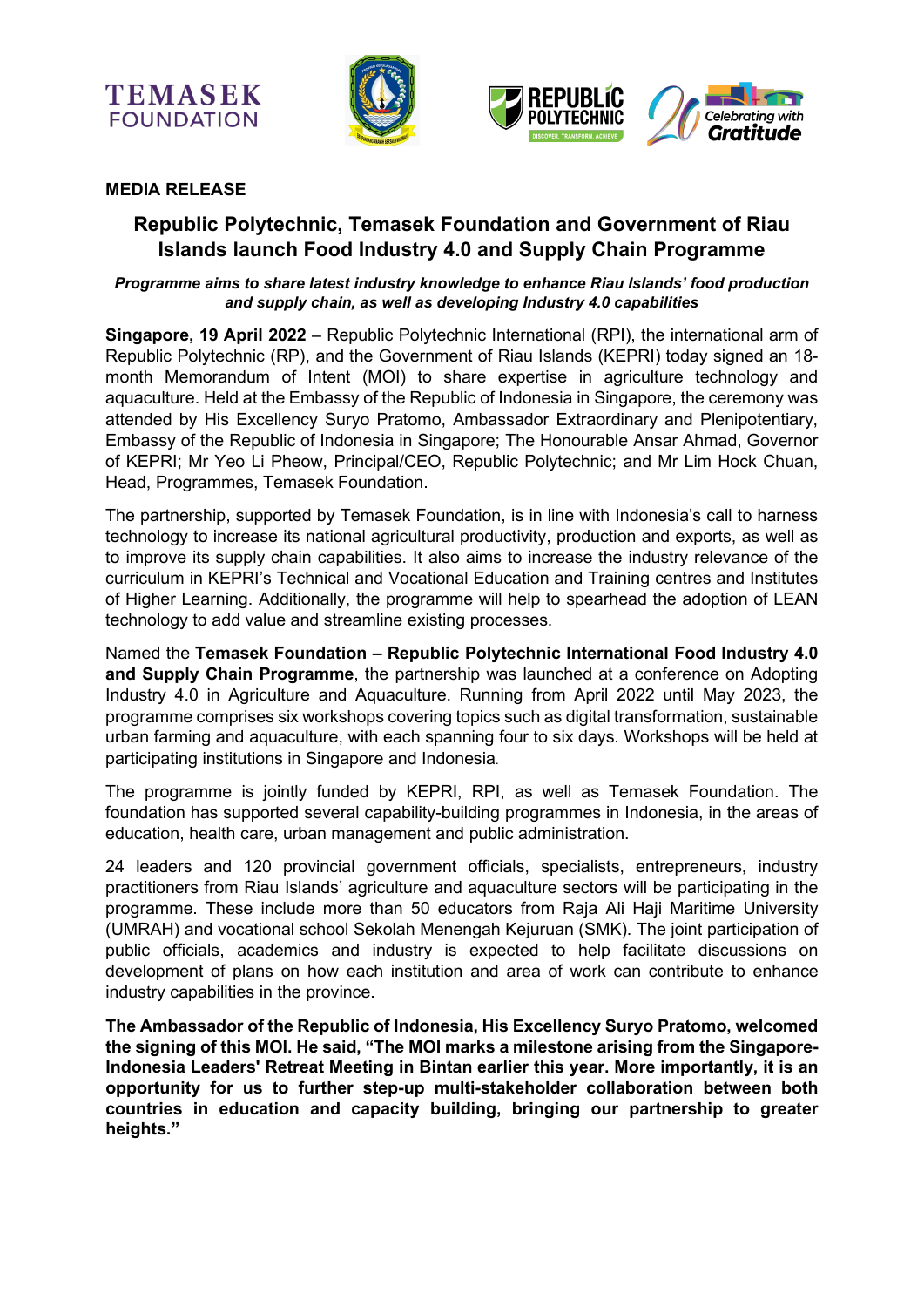





### **MEDIA RELEASE**

# **Republic Polytechnic, Temasek Foundation and Government of Riau Islands launch Food Industry 4.0 and Supply Chain Programme**

#### *Programme aims to share latest industry knowledge to enhance Riau Islands' food production and supply chain, as well as developing Industry 4.0 capabilities*

**Singapore, 19 April 2022** – Republic Polytechnic International (RPI), the international arm of Republic Polytechnic (RP), and the Government of Riau Islands (KEPRI) today signed an 18 month Memorandum of Intent (MOI) to share expertise in agriculture technology and aquaculture. Held at the Embassy of the Republic of Indonesia in Singapore, the ceremony was attended by His Excellency Suryo Pratomo, Ambassador Extraordinary and Plenipotentiary, Embassy of the Republic of Indonesia in Singapore; The Honourable Ansar Ahmad, Governor of KEPRI; Mr Yeo Li Pheow, Principal/CEO, Republic Polytechnic; and Mr Lim Hock Chuan, Head, Programmes, Temasek Foundation.

The partnership, supported by Temasek Foundation, is in line with Indonesia's call to harness technology to increase its national agricultural productivity, production and exports, as well as to improve its supply chain capabilities. It also aims to increase the industry relevance of the curriculum in KEPRI's Technical and Vocational Education and Training centres and Institutes of Higher Learning. Additionally, the programme will help to spearhead the adoption of LEAN technology to add value and streamline existing processes.

Named the **Temasek Foundation – Republic Polytechnic International Food Industry 4.0 and Supply Chain Programme**, the partnership was launched at a conference on Adopting Industry 4.0 in Agriculture and Aquaculture. Running from April 2022 until May 2023, the programme comprises six workshops covering topics such as digital transformation, sustainable urban farming and aquaculture, with each spanning four to six days. Workshops will be held at participating institutions in Singapore and Indonesia.

The programme is jointly funded by KEPRI, RPI, as well as Temasek Foundation. The foundation has supported several capability-building programmes in Indonesia, in the areas of education, health care, urban management and public administration.

24 leaders and 120 provincial government officials, specialists, entrepreneurs, industry practitioners from Riau Islands' agriculture and aquaculture sectors will be participating in the programme. These include more than 50 educators from Raja Ali Haji Maritime University (UMRAH) and vocational school Sekolah Menengah Kejuruan (SMK). The joint participation of public officials, academics and industry is expected to help facilitate discussions on development of plans on how each institution and area of work can contribute to enhance industry capabilities in the province.

**The Ambassador of the Republic of Indonesia, His Excellency Suryo Pratomo, welcomed the signing of this MOI. He said, "The MOI marks a milestone arising from the Singapore-Indonesia Leaders' Retreat Meeting in Bintan earlier this year. More importantly, it is an opportunity for us to further step-up multi-stakeholder collaboration between both countries in education and capacity building, bringing our partnership to greater heights."**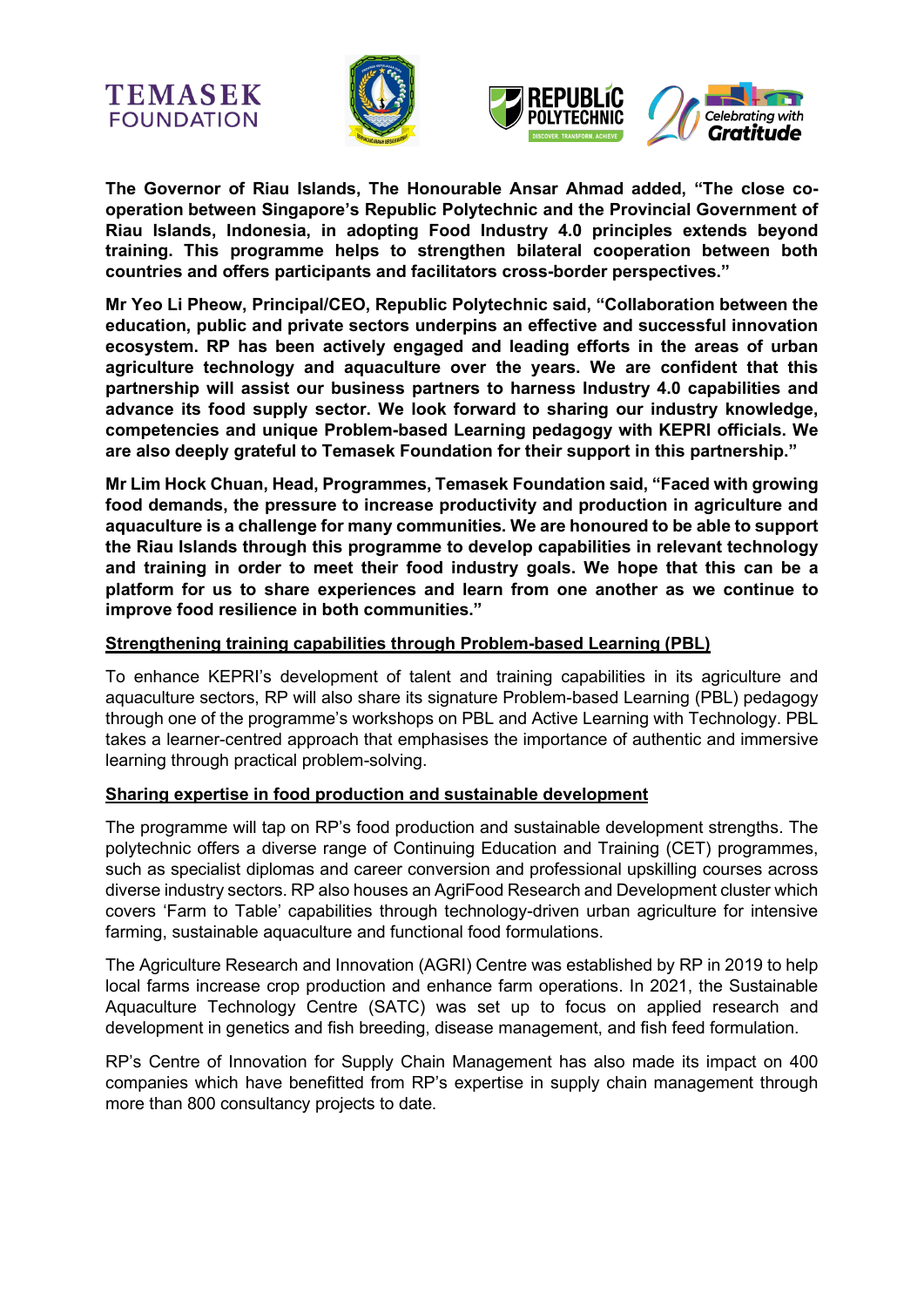





**The Governor of Riau Islands, The Honourable Ansar Ahmad added, "The close cooperation between Singapore's Republic Polytechnic and the Provincial Government of Riau Islands, Indonesia, in adopting Food Industry 4.0 principles extends beyond training. This programme helps to strengthen bilateral cooperation between both countries and offers participants and facilitators cross-border perspectives."** 

**Mr Yeo Li Pheow, Principal/CEO, Republic Polytechnic said, "Collaboration between the education, public and private sectors underpins an effective and successful innovation ecosystem. RP has been actively engaged and leading efforts in the areas of urban agriculture technology and aquaculture over the years. We are confident that this partnership will assist our business partners to harness Industry 4.0 capabilities and advance its food supply sector. We look forward to sharing our industry knowledge, competencies and unique Problem-based Learning pedagogy with KEPRI officials. We are also deeply grateful to Temasek Foundation for their support in this partnership."**

**Mr Lim Hock Chuan, Head, Programmes, Temasek Foundation said, "Faced with growing food demands, the pressure to increase productivity and production in agriculture and aquaculture is a challenge for many communities. We are honoured to be able to support the Riau Islands through this programme to develop capabilities in relevant technology and training in order to meet their food industry goals. We hope that this can be a platform for us to share experiences and learn from one another as we continue to improve food resilience in both communities."** 

### **Strengthening training capabilities through Problem-based Learning (PBL)**

To enhance KEPRI's development of talent and training capabilities in its agriculture and aquaculture sectors, RP will also share its signature Problem-based Learning (PBL) pedagogy through one of the programme's workshops on PBL and Active Learning with Technology. PBL takes a learner-centred approach that emphasises the importance of authentic and immersive learning through practical problem-solving.

### **Sharing expertise in food production and sustainable development**

The programme will tap on RP's food production and sustainable development strengths. The polytechnic offers a diverse range of Continuing Education and Training (CET) programmes, such as specialist diplomas and career conversion and professional upskilling courses across diverse industry sectors. RP also houses an AgriFood Research and Development cluster which covers 'Farm to Table' capabilities through technology-driven urban agriculture for intensive farming, sustainable aquaculture and functional food formulations.

The Agriculture Research and Innovation (AGRI) Centre was established by RP in 2019 to help local farms increase crop production and enhance farm operations. In 2021, the Sustainable Aquaculture Technology Centre (SATC) was set up to focus on applied research and development in genetics and fish breeding, disease management, and fish feed formulation.

RP's Centre of Innovation for Supply Chain Management has also made its impact on 400 companies which have benefitted from RP's expertise in supply chain management through more than 800 consultancy projects to date.